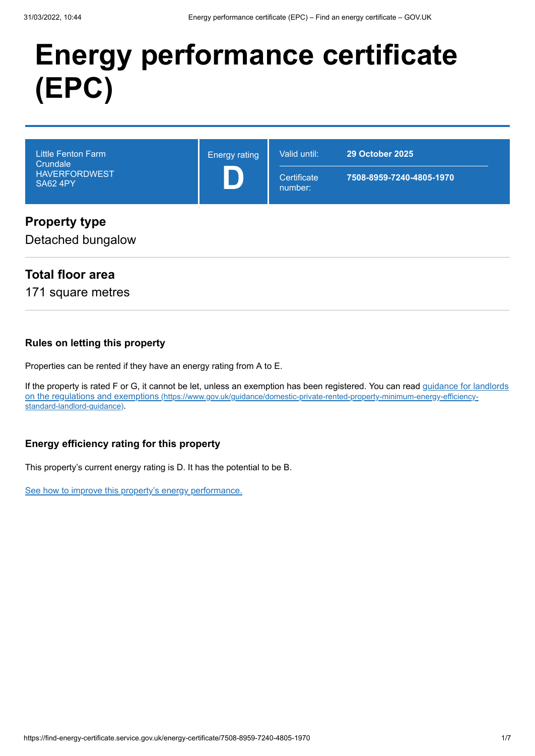# **Energy performance certificate (EPC)**

| <b>Little Fenton Farm</b><br>Crundale<br><b>HAVERFORDWEST</b><br><b>SA62 4PY</b> | <b>Energy rating</b> | Valid until:<br>Certificate<br>number: | <b>29 October 2025</b><br>7508-8959-7240-4805-1970 |
|----------------------------------------------------------------------------------|----------------------|----------------------------------------|----------------------------------------------------|
| <b>Property type</b><br>Detached bungalow                                        |                      |                                        |                                                    |

# **Total floor area**

171 square metres

### **Rules on letting this property**

Properties can be rented if they have an energy rating from A to E.

[If the property is rated F or G, it cannot be let, unless an exemption has been registered. You can read guidance for landlords](https://www.gov.uk/guidance/domestic-private-rented-property-minimum-energy-efficiency-standard-landlord-guidance) on the regulations and exemptions (https://www.gov.uk/guidance/domestic-private-rented-property-minimum-energy-efficiencystandard-landlord-guidance).

### **Energy efficiency rating for this property**

This property's current energy rating is D. It has the potential to be B.

[See how to improve this property's energy performance.](#page-3-0)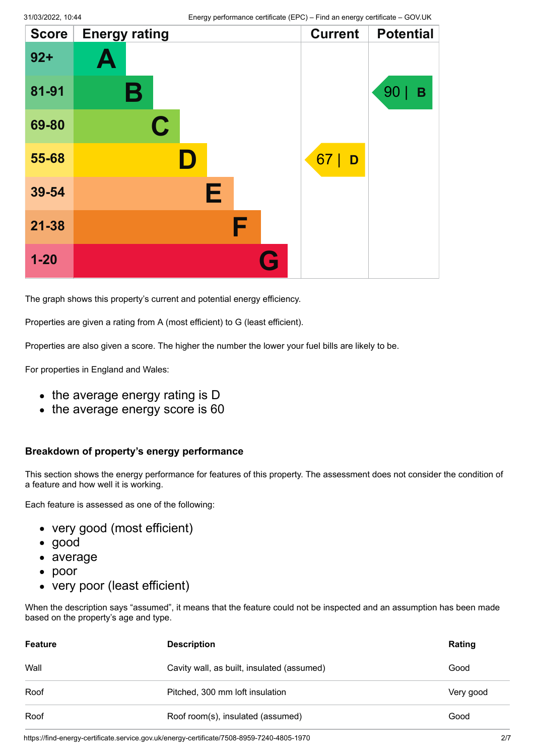| <b>Score</b> | <b>Energy rating</b> |   | <b>Current</b> | <b>Potential</b> |
|--------------|----------------------|---|----------------|------------------|
| $92 +$       | Ą                    |   |                |                  |
| 81-91        | Β                    |   |                | 90<br>B          |
| 69-80        | $\mathbf C$          |   |                |                  |
| 55-68        | ID.                  |   | 67<br>D        |                  |
| 39-54        | E                    |   |                |                  |
| $21 - 38$    |                      | F |                |                  |
| $1 - 20$     |                      | G |                |                  |

The graph shows this property's current and potential energy efficiency.

Properties are given a rating from A (most efficient) to G (least efficient).

Properties are also given a score. The higher the number the lower your fuel bills are likely to be.

For properties in England and Wales:

- the average energy rating is D
- the average energy score is 60

#### **Breakdown of property's energy performance**

This section shows the energy performance for features of this property. The assessment does not consider the condition of a feature and how well it is working.

Each feature is assessed as one of the following:

- very good (most efficient)
- good
- average
- poor
- very poor (least efficient)

When the description says "assumed", it means that the feature could not be inspected and an assumption has been made based on the property's age and type.

| <b>Feature</b> | <b>Description</b>                         | Rating    |
|----------------|--------------------------------------------|-----------|
| Wall           | Cavity wall, as built, insulated (assumed) | Good      |
| Roof           | Pitched, 300 mm loft insulation            | Very good |
| Roof           | Roof room(s), insulated (assumed)          | Good      |

https://find-energy-certificate.service.gov.uk/energy-certificate/7508-8959-7240-4805-1970 2/7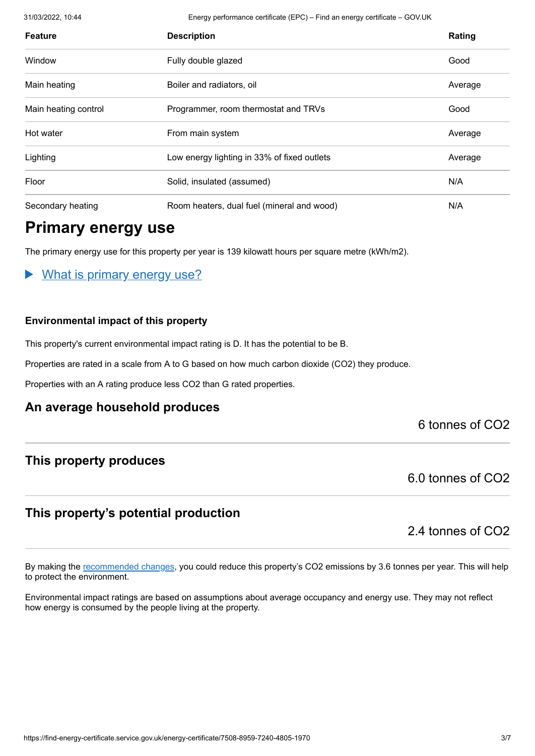31/03/2022, 10:44 Energy performance certificate (EPC) – Find an energy certificate – GOV.UK

| <b>Feature</b>       | <b>Description</b>                          | Rating  |
|----------------------|---------------------------------------------|---------|
| Window               | Fully double glazed                         | Good    |
| Main heating         | Boiler and radiators, oil                   | Average |
| Main heating control | Programmer, room thermostat and TRVs        | Good    |
| Hot water            | From main system                            | Average |
| Lighting             | Low energy lighting in 33% of fixed outlets | Average |
| Floor                | Solid, insulated (assumed)                  | N/A     |
| Secondary heating    | Room heaters, dual fuel (mineral and wood)  | N/A     |

# **Primary energy use**

The primary energy use for this property per year is 139 kilowatt hours per square metre (kWh/m2).

### What is primary energy use?

#### **Environmental impact of this property**

This property's current environmental impact rating is D. It has the potential to be B.

Properties are rated in a scale from A to G based on how much carbon dioxide (CO2) they produce.

Properties with an A rating produce less CO2 than G rated properties.

### **An average household produces**

### 6 tonnes of CO2

### **This property produces**

6.0 tonnes of CO2

# **This property's potential production**

2.4 tonnes of CO2

By making the [recommended changes](#page-3-0), you could reduce this property's CO2 emissions by 3.6 tonnes per year. This will help to protect the environment.

Environmental impact ratings are based on assumptions about average occupancy and energy use. They may not reflect how energy is consumed by the people living at the property.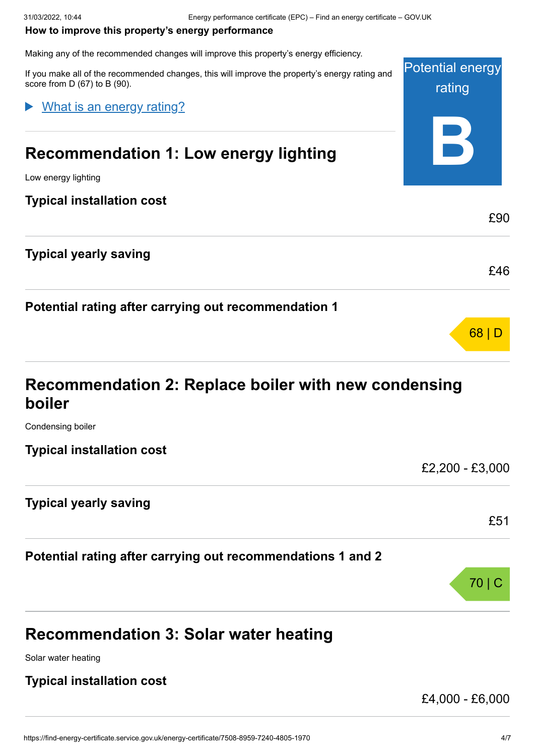#### <span id="page-3-0"></span>**How to improve this property's energy performance**

Making any of the recommended changes will improve this property's energy efficiency.

Potential energy rating **B** If you make all of the recommended changes, this will improve the property's energy rating and score from D (67) to B (90). **Recommendation 1: Low energy lighting** Low energy lighting **Typical installation cost** £90 **Typical yearly saving** £46 **Potential rating after carrying out recommendation 1** 68 | D What is an energy rating?

# **Recommendation 2: Replace boiler with new condensing boiler**

Condensing boiler

**Typical installation cost**

£2,200 - £3,000

£51

70 | C

### **Typical yearly saving**

### **Potential rating after carrying out recommendations 1 and 2**

# **Recommendation 3: Solar water heating**

Solar water heating

### **Typical installation cost**

£4,000 - £6,000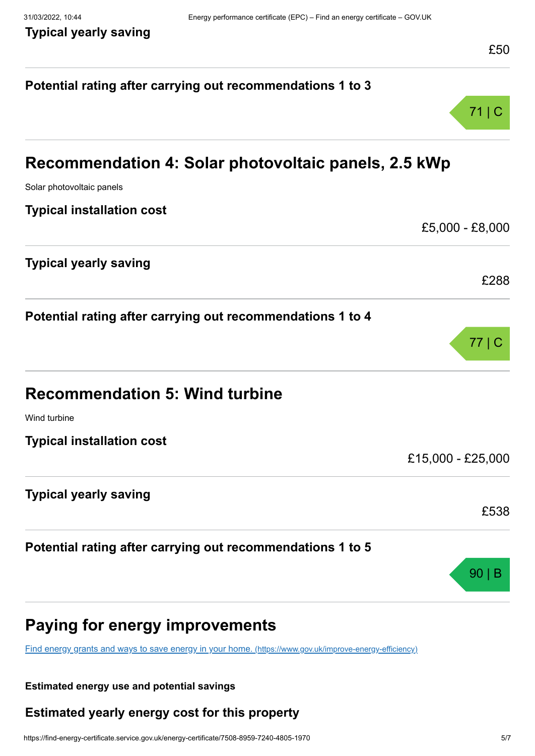# **Potential rating after carrying out recommendations 1 to 3** 71 | C **Recommendation 4: Solar photovoltaic panels, 2.5 kWp** Solar photovoltaic panels **Typical installation cost** £5,000 - £8,000 **Typical yearly saving** £288 **Potential rating after carrying out recommendations 1 to 4** 77 | C **Recommendation 5: Wind turbine** Wind turbine **Typical installation cost** £15,000 - £25,000 **Typical yearly saving** £538 **Potential rating after carrying out recommendations 1 to 5** 90 | B **Paying for energy improvements** [Find energy grants and ways to save energy in your home.](https://www.gov.uk/improve-energy-efficiency) (https://www.gov.uk/improve-energy-efficiency)

#### **Estimated energy use and potential savings**

# **Estimated yearly energy cost for this property**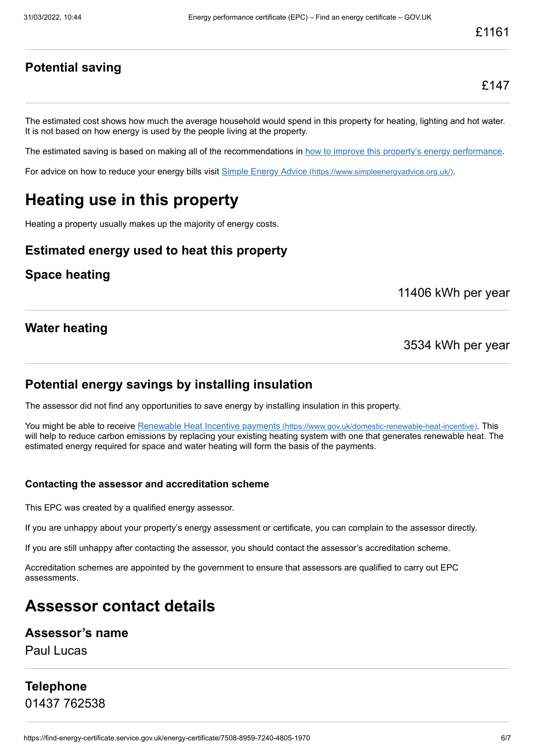## **Potential saving**

The estimated cost shows how much the average household would spend in this property for heating, lighting and hot water. It is not based on how energy is used by the people living at the property.

The estimated saving is based on making all of the recommendations in [how to improve this property's energy performance.](#page-3-0)

For advice on how to reduce your energy bills visit Simple Energy Advice [\(https://www.simpleenergyadvice.org.uk/\)](https://www.simpleenergyadvice.org.uk/).

# **Heating use in this property**

Heating a property usually makes up the majority of energy costs.

### **Estimated energy used to heat this property**

### **Space heating**

11406 kWh per year

### **Water heating**

3534 kWh per year

### **Potential energy savings by installing insulation**

The assessor did not find any opportunities to save energy by installing insulation in this property.

You might be able to receive Renewable Heat Incentive payments [\(https://www.gov.uk/domestic-renewable-heat-incentive\)](https://www.gov.uk/domestic-renewable-heat-incentive). This will help to reduce carbon emissions by replacing your existing heating system with one that generates renewable heat. The estimated energy required for space and water heating will form the basis of the payments.

#### **Contacting the assessor and accreditation scheme**

This EPC was created by a qualified energy assessor.

If you are unhappy about your property's energy assessment or certificate, you can complain to the assessor directly.

If you are still unhappy after contacting the assessor, you should contact the assessor's accreditation scheme.

Accreditation schemes are appointed by the government to ensure that assessors are qualified to carry out EPC assessments.

# **Assessor contact details**

### **Assessor's name**

Paul Lucas

# **Telephone** 01437 762538